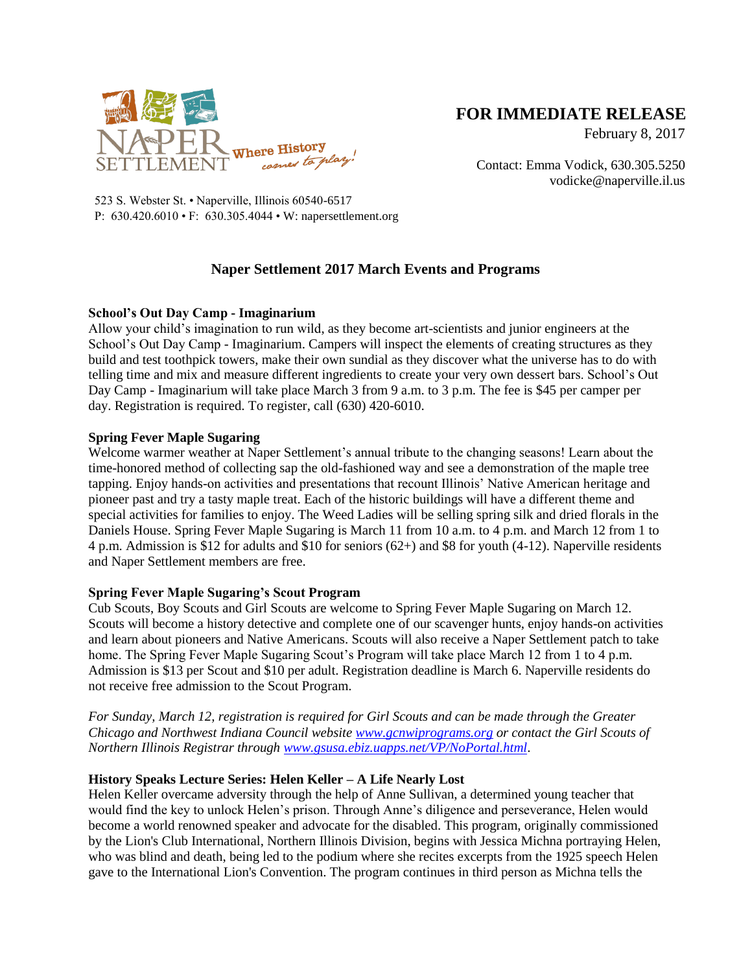

# **FOR IMMEDIATE RELEASE**

February 8, 2017

Contact: Emma Vodick, 630.305.5250 vodicke@naperville.il.us

523 S. Webster St. • Naperville, Illinois 60540-6517 P: 630.420.6010 • F: 630.305.4044 • W: napersettlement.org

## **Naper Settlement 2017 March Events and Programs**

### **School's Out Day Camp - Imaginarium**

Allow your child's imagination to run wild, as they become art-scientists and junior engineers at the School's Out Day Camp - Imaginarium. Campers will inspect the elements of creating structures as they build and test toothpick towers, make their own sundial as they discover what the universe has to do with telling time and mix and measure different ingredients to create your very own dessert bars. School's Out Day Camp - Imaginarium will take place March 3 from 9 a.m. to 3 p.m. The fee is \$45 per camper per day. Registration is required. To register, call (630) 420-6010.

#### **Spring Fever Maple Sugaring**

Welcome warmer weather at Naper Settlement's annual tribute to the changing seasons! Learn about the time-honored method of collecting sap the old-fashioned way and see a demonstration of the maple tree tapping. Enjoy hands-on activities and presentations that recount Illinois' Native American heritage and pioneer past and try a tasty maple treat. Each of the historic buildings will have a different theme and special activities for families to enjoy. The Weed Ladies will be selling spring silk and dried florals in the Daniels House. Spring Fever Maple Sugaring is March 11 from 10 a.m. to 4 p.m. and March 12 from 1 to 4 p.m. Admission is \$12 for adults and \$10 for seniors (62+) and \$8 for youth (4-12). Naperville residents and Naper Settlement members are free.

#### **Spring Fever Maple Sugaring's Scout Program**

Cub Scouts, Boy Scouts and Girl Scouts are welcome to Spring Fever Maple Sugaring on March 12. Scouts will become a history detective and complete one of our scavenger hunts, enjoy hands-on activities and learn about pioneers and Native Americans. Scouts will also receive a Naper Settlement patch to take home. The Spring Fever Maple Sugaring Scout's Program will take place March 12 from 1 to 4 p.m. Admission is \$13 per Scout and \$10 per adult. Registration deadline is March 6. Naperville residents do not receive free admission to the Scout Program.

*For Sunday, March 12, registration is required for Girl Scouts and can be made through the Greater Chicago and Northwest Indiana Council website [www.gcnwiprograms.org](http://www.gcnwiprograms.org/) or contact the Girl Scouts of Northern Illinois Registrar through [www.gsusa.ebiz.uapps.net/VP/NoPortal.html](http://www.gsusa.ebiz.uapps.net/VP/NoPortal.html)*.

#### **History Speaks Lecture Series: Helen Keller – A Life Nearly Lost**

Helen Keller overcame adversity through the help of Anne Sullivan, a determined young teacher that would find the key to unlock Helen's prison. Through Anne's diligence and perseverance, Helen would become a world renowned speaker and advocate for the disabled. This program, originally commissioned by the Lion's Club International, Northern Illinois Division, begins with Jessica Michna portraying Helen, who was blind and death, being led to the podium where she recites excerpts from the 1925 speech Helen gave to the International Lion's Convention. The program continues in third person as Michna tells the